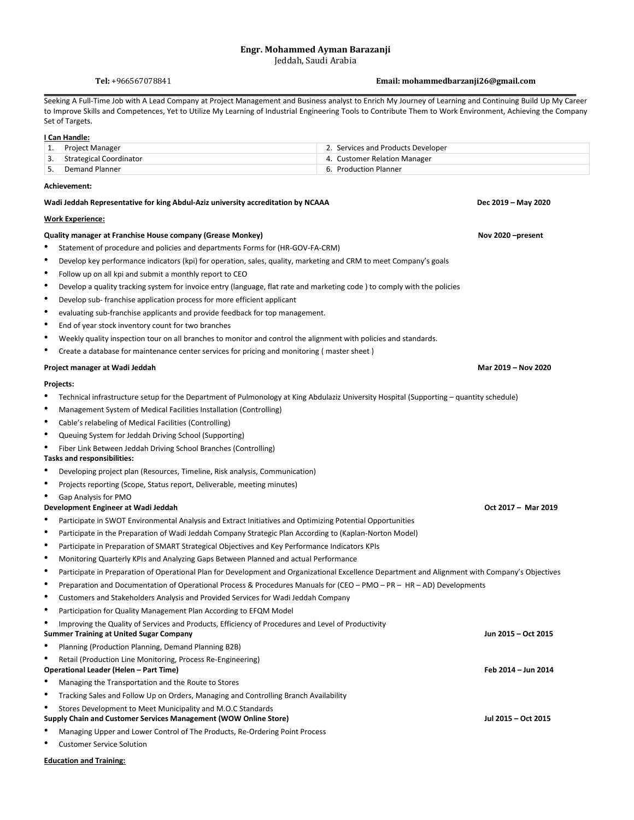# **Engr. Mohammed Ayman Barazanji**

Jeddah, Saudi Arabia

# **Tel:** +966567078841 **Email: mohammedbarzanji26@gmail.com**

Seeking A Full-Time Job with A Lead Company at Project Management and Business analyst to Enrich My Journey of Learning and Continuing Build Up My Career to Improve Skills and Competences, Yet to Utilize My Learning of Industrial Engineering Tools to Contribute Them to Work Environment, Achieving the Company Set of Targets.

## **I Can Handle:**

| Project Manager            | 2. Services and Products Developer |
|----------------------------|------------------------------------|
| 3. Strategical Coordinator | 4. Customer Relation Manager       |
| Demand Planner             | 6. Production Planner              |

## **Achievement:**

#### **Work Experience:**

## **Quality manager at Franchise House company (Grease Monkey) <b>November 2004 November 2020** - **November 2020** - **present**

- Statement of procedure and policies and departments Forms for (HR-GOV-FA-CRM)
- Develop key performance indicators (kpi) for operation, sales, quality, marketing and CRM to meet Company's goals
- Follow up on all kpi and submit a monthly report to CEO
- Develop a quality tracking system for invoice entry (language, flat rate and marketing code ) to comply with the policies
- Develop sub- franchise application process for more efficient applicant
- evaluating sub-franchise applicants and provide feedback for top management.
- End of year stock inventory count for two branches
- Weekly quality inspection tour on all branches to monitor and control the alignment with policies and standards.
- Create a database for maintenance center services for pricing and monitoring ( master sheet )

#### **Project manager at Wadi Jeddah Mar 2019 – Nov 2020**

#### **Projects:**

- Technical infrastructure setup for the Department of Pulmonology at King Abdulaziz University Hospital (Supporting quantity schedule)
- Management System of Medical Facilities Installation (Controlling)
- Cable's relabeling of Medical Facilities (Controlling)
- Queuing System for Jeddah Driving School (Supporting)
- Fiber Link Between Jeddah Driving School Branches (Controlling)

### **Tasks and responsibilities:**

- Developing project plan (Resources, Timeline, Risk analysis, Communication)
- Projects reporting (Scope, Status report, Deliverable, meeting minutes)
- Gap Analysis for PMO

# **Development Engineer at Wadi Jeddah Oct 2017 – Mar 2019**

- Participate in SWOT Environmental Analysis and Extract Initiatives and Optimizing Potential Opportunities
- Participate in the Preparation of Wadi Jeddah Company Strategic Plan According to (Kaplan-Norton Model)
- Participate in Preparation of SMART Strategical Objectives and Key Performance Indicators KPIs
- Monitoring Quarterly KPIs and Analyzing Gaps Between Planned and actual Performance
- Participate in Preparation of Operational Plan for Development and Organizational Excellence Department and Alignment with Company's Objectives
- Preparation and Documentation of Operational Process & Procedures Manuals for (CEO PMO PR HR AD) Developments
- Customers and Stakeholders Analysis and Provided Services for Wadi Jeddah Company
- Participation for Quality Management Plan According to EFQM Model
- Improving the Quality of Services and Products, Efficiency of Procedures and Level of Productivity

## **Summer Training at United Sugar Company Jun 2015 – Oct 2015**

- Planning (Production Planning, Demand Planning B2B)
- Retail (Production Line Monitoring, Process Re-Engineering)

## **Operational Leader (Helen – Part Time) Feb 2014 – Jun 2014**

- Managing the Transportation and the Route to Stores
- Tracking Sales and Follow Up on Orders, Managing and Controlling Branch Availability
- Stores Development to Meet Municipality and M.O.C Standards

### **Supply Chain and Customer Services Management (WOW Online Store) Jul 2015 – Oct 2015**

- Managing Upper and Lower Control of The Products, Re-Ordering Point Process
- Customer Service Solution

# **Education and Training:**

 $Dec 2019 - May 2020$